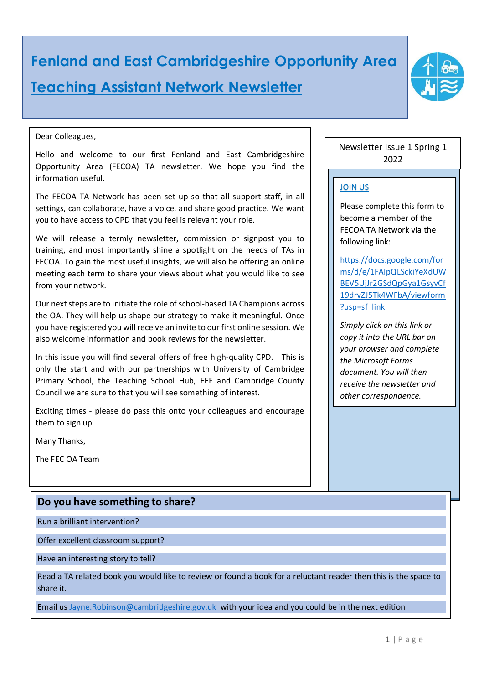# **Fenland and East Cambridgeshire Opportunity Area Teaching Assistant Network Newsletter**

#### Dear Colleagues,

Hello and welcome to our first Fenland and East Cambridgeshire Opportunity Area (FECOA) TA newsletter. We hope you find the information useful.

The FECOA TA Network has been set up so that all support staff, in all settings, can collaborate, have a voice, and share good practice. We want you to have access to CPD that you feel is relevant your role.

We will release a termly newsletter, commission or signpost you to training, and most importantly shine a spotlight on the needs of TAs in FECOA. To gain the most useful insights, we will also be offering an online meeting each term to share your views about what you would like to see from your network.

Our next steps are to initiate the role of school-based TA Champions across the OA. They will help us shape our strategy to make it meaningful. Once you have registered you will receive an invite to our first online session. We also welcome information and book reviews for the newsletter.

In this issue you will find several offers of free high-quality CPD. This is only the start and with our partnerships with University of Cambridge Primary School, the Teaching School Hub, EEF and Cambridge County Council we are sure to that you will see something of interest.

Exciting times - please do pass this onto your colleagues and encourage them to sign up.

Many Thanks,

The FEC OA Team

## **Do you have something to share?**

Run a brilliant intervention?

Offer excellent classroom support?

Have an interesting story to tell?

Read a TA related book you would like to review or found a book for a reluctant reader then this is the space to share it.

Email us [Jayne.Robinson@cambridgeshire.gov.uk](mailto:Jayne.Robinson@cambridgeshire.gov.uk) with your idea and you could be in the next edition

Newsletter Issue 1 Spring 1 2022

### JOIN US

Please complete this form to become a member of the FECOA TA Network via the following link:

[https://docs.google.com/for](https://docs.google.com/forms/d/e/1FAIpQLSckiYeXdUWBEV5UjJr2GSdQpGya1GsyvCf19drvZJ5Tk4WFbA/viewform?usp=sf_link) [ms/d/e/1FAIpQLSckiYeXdUW](https://docs.google.com/forms/d/e/1FAIpQLSckiYeXdUWBEV5UjJr2GSdQpGya1GsyvCf19drvZJ5Tk4WFbA/viewform?usp=sf_link) [BEV5UjJr2GSdQpGya1GsyvCf](https://docs.google.com/forms/d/e/1FAIpQLSckiYeXdUWBEV5UjJr2GSdQpGya1GsyvCf19drvZJ5Tk4WFbA/viewform?usp=sf_link) [19drvZJ5Tk4WFbA/viewform](https://docs.google.com/forms/d/e/1FAIpQLSckiYeXdUWBEV5UjJr2GSdQpGya1GsyvCf19drvZJ5Tk4WFbA/viewform?usp=sf_link) [?usp=sf\\_link](https://docs.google.com/forms/d/e/1FAIpQLSckiYeXdUWBEV5UjJr2GSdQpGya1GsyvCf19drvZJ5Tk4WFbA/viewform?usp=sf_link)

*Simply click on this link or copy it into the URL bar on your browser and complete the Microsoft Forms document. You will then receive the newsletter and other correspondence.*

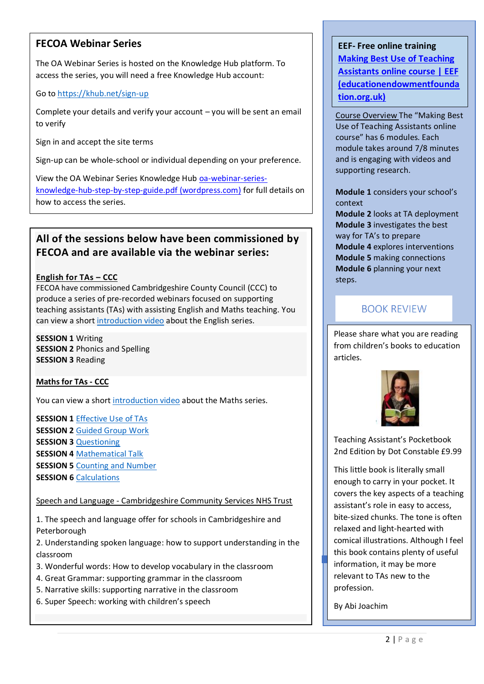## **FECOA Webinar Series**

The OA Webinar Series is hosted on the Knowledge Hub platform. To access the series, you will need a free Knowledge Hub account:

#### Go to<https://khub.net/sign-up>

Complete your details and verify your account – you will be sent an email to verify

Sign in and accept the site terms

Sign-up can be whole-school or individual depending on your preference.

View the OA Webinar Series Knowledge Hub [oa-webinar-series](https://fenlandeastcambridgeshireoa.files.wordpress.com/2021/11/oa-webinar-series-knowledge-hub-step-by-step-guide.pdf)[knowledge-hub-step-by-step-guide.pdf \(wordpress.com\)](https://fenlandeastcambridgeshireoa.files.wordpress.com/2021/11/oa-webinar-series-knowledge-hub-step-by-step-guide.pdf) for full details on how to access the series.

## **All of the sessions below have been commissioned by FECOA and are available via the webinar series:**

#### **English for TAs – CCC**

FECOA have commissioned Cambridgeshire County Council (CCC) to produce a series of pre-recorded webinars focused on supporting teaching assistants (TAs) with assisting English and Maths teaching. You can view a short [introduction video](https://www.youtube.com/watch?v=WZxH27PLoH8) about the English series.

**SESSION 1** Writing **SESSION 2** Phonics and Spelling **SESSION 3** Reading

#### **Maths for TAs - CCC**

You can view a short [introduction video](https://www.youtube.com/watch?v=YP-ADUQrxkc) about the Maths series.

**SESSION 1** [Effective Use of TAs](https://www.youtube.com/watch?v=AjZEbTals9M)  **SESSION 2** [Guided Group Work](https://www.youtube.com/watch?v=sCn9KDpZu0s) **SESSION 3** [Questioning](https://www.youtube.com/watch?v=bNXHF7YHlT0) **SESSION 4** [Mathematical Talk](https://www.youtube.com/watch?v=9p04iI6q31E) **SESSION 5 [Counting and Number](https://www.youtube.com/watch?v=Wl41r6rQrcs) SESSION 6 [Calculations](https://www.youtube.com/watch?v=aII_szlJ8R4)** 

Speech and Language - Cambridgeshire Community Services NHS Trust

1. The speech and language offer for schools in Cambridgeshire and Peterborough

2. Understanding spoken language: how to support understanding in the classroom

3. Wonderful words: How to develop vocabulary in the classroom

- 4. Great Grammar: supporting grammar in the classroom
- 5. Narrative skills: supporting narrative in the classroom
- 6. Super Speech: working with children's speech

## **EEF- Free online training [Making Best Use of Teaching](https://educationendowmentfoundation.org.uk/courses/making-best-use-of-teaching-assistants-online-course)  [Assistants online course | EEF](https://educationendowmentfoundation.org.uk/courses/making-best-use-of-teaching-assistants-online-course)  [\(educationendowmentfounda](https://educationendowmentfoundation.org.uk/courses/making-best-use-of-teaching-assistants-online-course) [tion.org.uk\)](https://educationendowmentfoundation.org.uk/courses/making-best-use-of-teaching-assistants-online-course)**

Course Overview The "Making Best Use of Teaching Assistants online course" has 6 modules. Each module takes around 7/8 minutes and is engaging with videos and supporting research.

**Module 1** considers your school's context

**Module 2** looks at TA deployment **Module 3** investigates the best way for TA's to prepare **Module 4** explores interventions **Module 5** making connections **Module 6** planning your next steps.

## **BOOK REVIEW**

Please share what you are reading from children's books to education articles.



Teaching Assistant's Pocketbook 2nd Edition by Dot Constable £9.99

This little book is literally small enough to carry in your pocket. It covers the key aspects of a teaching assistant's role in easy to access, bite-sized chunks. The tone is often relaxed and light-hearted with comical illustrations. Although I feel this book contains plenty of useful information, it may be more relevant to TAs new to the profession.

By Abi Joachim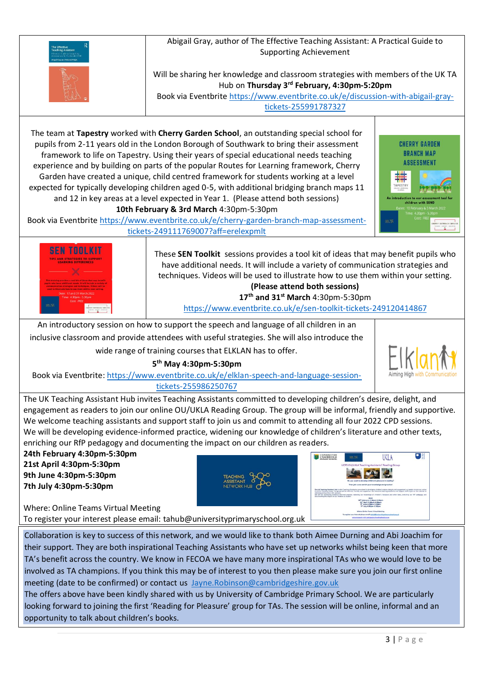